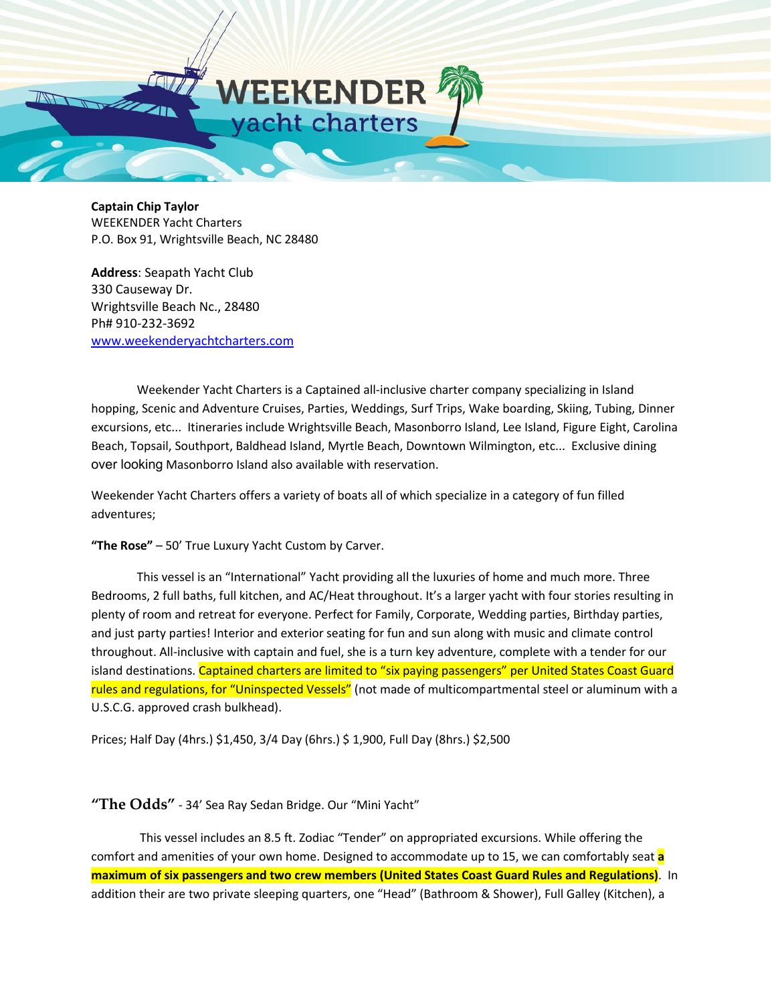

**Captain Chip Taylor** WEEKENDER Yacht Charters P.O. Box 91, Wrightsville Beach, NC 28480

**Address**: Seapath Yacht Club 330 Causeway Dr. Wrightsville Beach Nc., 28480 Ph# 910-232-3692 [www.weekenderyachtcharters.com](http://www.weekenderyachtcharters.com/)

Weekender Yacht Charters is a Captained all-inclusive charter company specializing in Island hopping, Scenic and Adventure Cruises, Parties, Weddings, Surf Trips, Wake boarding, Skiing, Tubing, Dinner excursions, etc... Itineraries include Wrightsville Beach, Masonborro Island, Lee Island, Figure Eight, Carolina Beach, Topsail, Southport, Baldhead Island, Myrtle Beach, Downtown Wilmington, etc... Exclusive dining over looking Masonborro Island also available with reservation.

Weekender Yacht Charters offers a variety of boats all of which specialize in a category of fun filled adventures;

**"The Rose"** – 50' True Luxury Yacht Custom by Carver.

This vessel is an "International" Yacht providing all the luxuries of home and much more. Three Bedrooms, 2 full baths, full kitchen, and AC/Heat throughout. It's a larger yacht with four stories resulting in plenty of room and retreat for everyone. Perfect for Family, Corporate, Wedding parties, Birthday parties, and just party parties! Interior and exterior seating for fun and sun along with music and climate control throughout. All-inclusive with captain and fuel, she is a turn key adventure, complete with a tender for our island destinations. Captained charters are limited to "six paying passengers" per United States Coast Guard rules and regulations, for "Uninspected Vessels" (not made of multicompartmental steel or aluminum with a U.S.C.G. approved crash bulkhead).

Prices; Half Day (4hrs.) \$1,450, 3/4 Day (6hrs.) \$ 1,900, Full Day (8hrs.) \$2,500

**"The Odds"** - 34' Sea Ray Sedan Bridge. Our "Mini Yacht"

 This vessel includes an 8.5 ft. Zodiac "Tender" on appropriated excursions. While offering the comfort and amenities of your own home. Designed to accommodate up to 15, we can comfortably seat **a maximum of six passengers and two crew members (United States Coast Guard Rules and Regulations)**. In addition their are two private sleeping quarters, one "Head" (Bathroom & Shower), Full Galley (Kitchen), a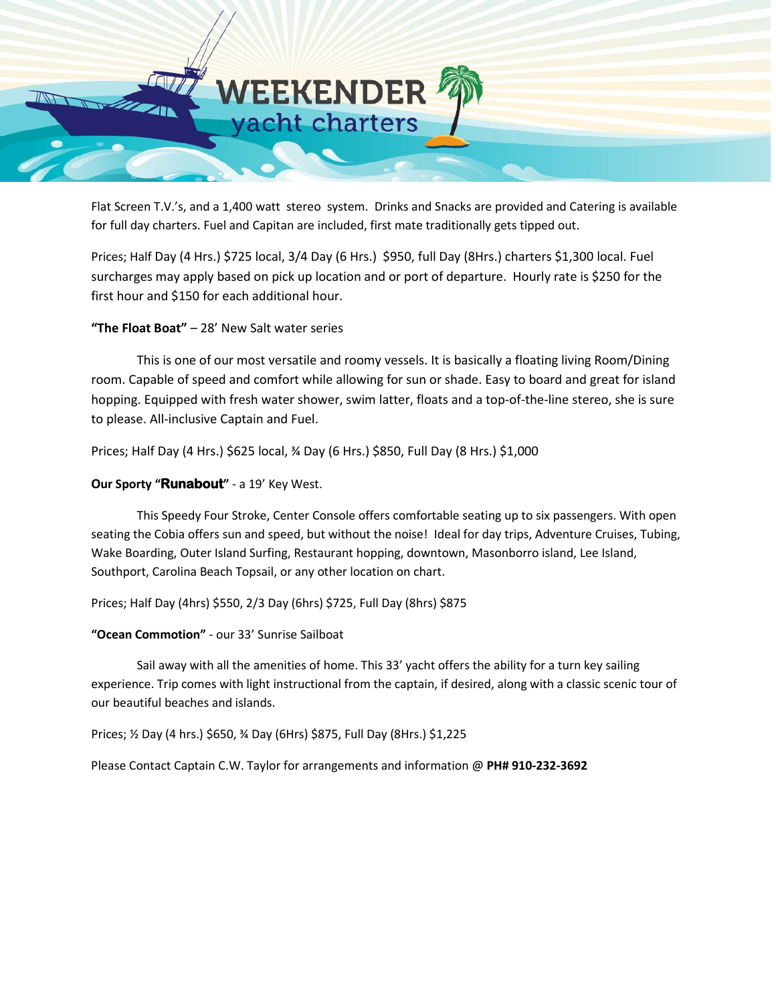

Flat Screen T.V.'s, and a 1,400 watt stereo system. Drinks and Snacks are provided and Catering is available for full day charters. Fuel and Capitan are included, first mate traditionally gets tipped out.

Prices; Half Day (4 Hrs.) \$725 local, 3/4 Day (6 Hrs.) \$950, full Day (8Hrs.) charters \$1,300 local. Fuel surcharges may apply based on pick up location and or port of departure. Hourly rate is \$250 for the first hour and \$150 for each additional hour.

**"The Float Boat"** – 28' New Salt water series

This is one of our most versatile and roomy vessels. It is basically a floating living Room/Dining room. Capable of speed and comfort while allowing for sun or shade. Easy to board and great for island hopping. Equipped with fresh water shower, swim latter, floats and a top-of-the-line stereo, she is sure to please. All-inclusive Captain and Fuel.

Prices; Half Day (4 Hrs.) \$625 local, ¾ Day (6 Hrs.) \$850, Full Day (8 Hrs.) \$1,000

## **Our Sporty "Runabout"** - a 19' Key West.

This Speedy Four Stroke, Center Console offers comfortable seating up to six passengers. With open seating the Cobia offers sun and speed, but without the noise! Ideal for day trips, Adventure Cruises, Tubing, Wake Boarding, Outer Island Surfing, Restaurant hopping, downtown, Masonborro island, Lee Island, Southport, Carolina Beach Topsail, or any other location on chart.

Prices; Half Day (4hrs) \$550, 2/3 Day (6hrs) \$725, Full Day (8hrs) \$875

## **"Ocean Commotion"** - our 33' Sunrise Sailboat

Sail away with all the amenities of home. This 33' yacht offers the ability for a turn key sailing experience. Trip comes with light instructional from the captain, if desired, along with a classic scenic tour of our beautiful beaches and islands.

Prices; ½ Day (4 hrs.) \$650, ¾ Day (6Hrs) \$875, Full Day (8Hrs.) \$1,225

Please Contact Captain C.W. Taylor for arrangements and information @ **PH# 910-232-3692**